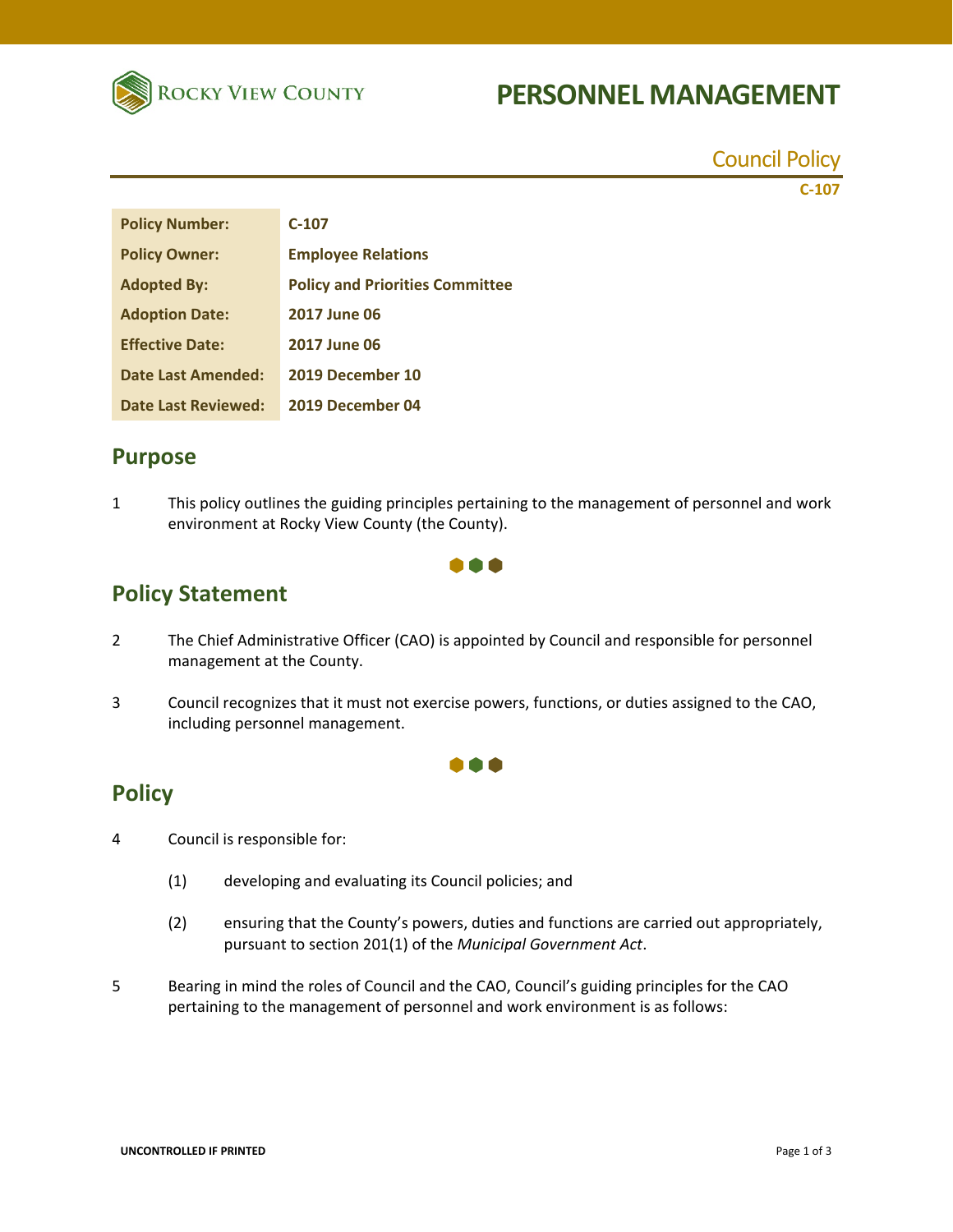

# **PERSONNEL MANAGEMENT**

Council Policy **C‐107**

| <b>Policy Number:</b>      | $C-107$                                |
|----------------------------|----------------------------------------|
| <b>Policy Owner:</b>       | <b>Employee Relations</b>              |
| <b>Adopted By:</b>         | <b>Policy and Priorities Committee</b> |
| <b>Adoption Date:</b>      | <b>2017 June 06</b>                    |
| <b>Effective Date:</b>     | <b>2017 June 06</b>                    |
| <b>Date Last Amended:</b>  | 2019 December 10                       |
| <b>Date Last Reviewed:</b> | 2019 December 04                       |

## **Purpose**

1 This policy outlines the guiding principles pertaining to the management of personnel and work environment at Rocky View County (the County).

...

## **Policy Statement**

- 2 The Chief Administrative Officer (CAO) is appointed by Council and responsible for personnel management at the County.
- 3 Council recognizes that it must not exercise powers, functions, or duties assigned to the CAO, including personnel management.

**TEM** 

## **Policy**

- 4 Council is responsible for:
	- (1) developing and evaluating its Council policies; and
	- (2) ensuring that the County's powers, duties and functions are carried out appropriately, pursuant to section 201(1) of the *Municipal Government Act*.
- 5 Bearing in mind the roles of Council and the CAO, Council's guiding principles for the CAO pertaining to the management of personnel and work environment is as follows: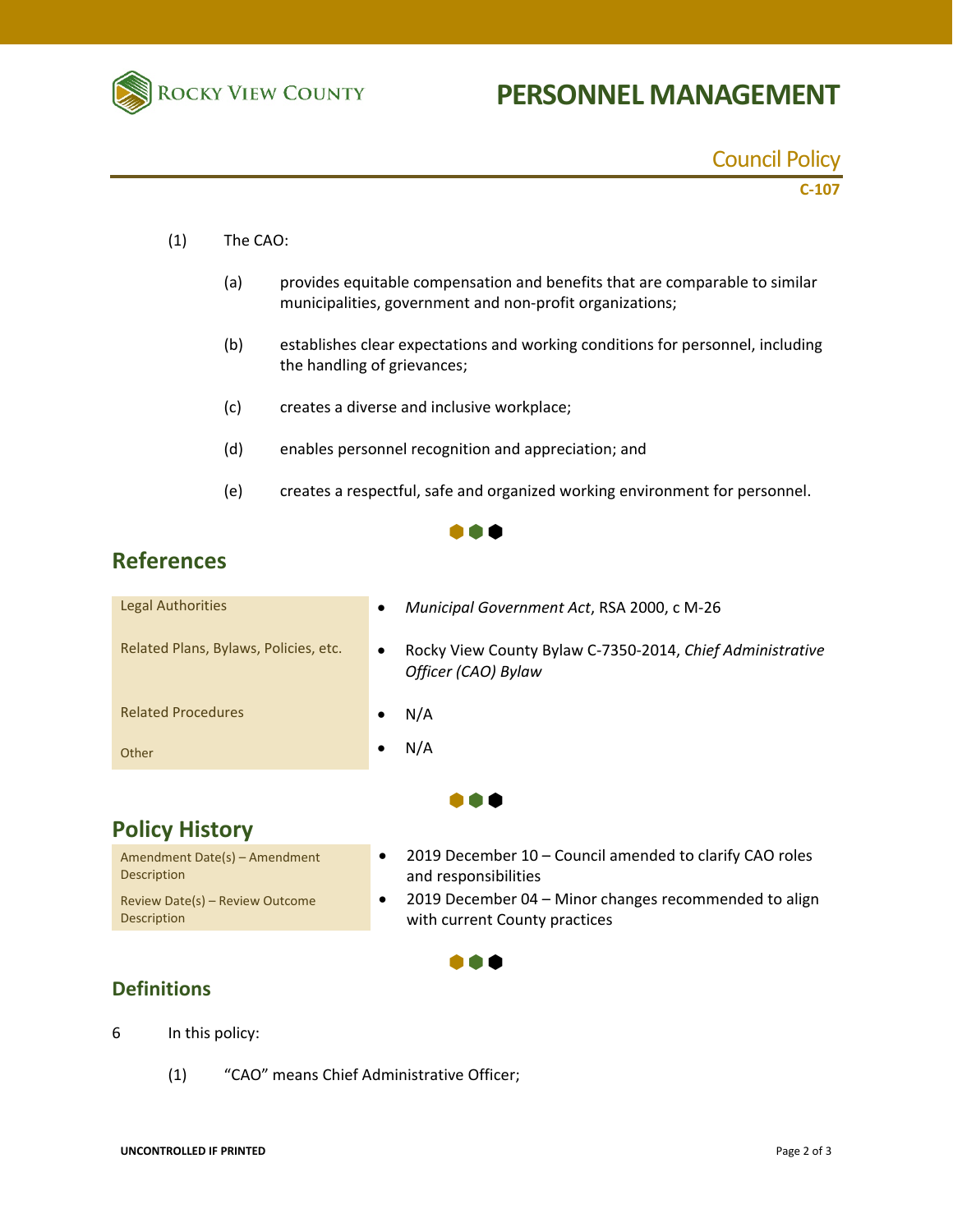

# **PERSONNEL MANAGEMENT**

Council Policy

## **C‐107**

- (1) The CAO:
	- (a) provides equitable compensation and benefits that are comparable to similar municipalities, government and non‐profit organizations;
	- (b) establishes clear expectations and working conditions for personnel, including the handling of grievances;
	- (c) creates a diverse and inclusive workplace;
	- (d) enables personnel recognition and appreciation; and
	- (e) creates a respectful, safe and organized working environment for personnel.

#### $\bullet \bullet \bullet$

## **References**

| Other                                 | N/A                                                                                           |
|---------------------------------------|-----------------------------------------------------------------------------------------------|
| <b>Related Procedures</b>             | N/A                                                                                           |
| Related Plans, Bylaws, Policies, etc. | Rocky View County Bylaw C-7350-2014, Chief Administrative<br>$\bullet$<br>Officer (CAO) Bylaw |
| <b>Legal Authorities</b>              | Municipal Government Act, RSA 2000, c M-26<br>$\bullet$                                       |

## **Policy History**

Amendment Date(s) – Amendment **Description** Review Date(s) – Review Outcome Description

- 2019 December 10 Council amended to clarify CAO roles and responsibilities
- 2019 December 04 Minor changes recommended to align with current County practices

#### . . .

#### **Definitions**

- 6 In this policy:
	- (1) "CAO" means Chief Administrative Officer;